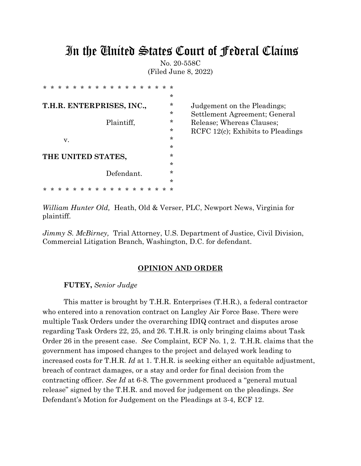# In the United States Court of Federal Claims

No. 20-558C (Filed June 8, 2022)

| $\star$ | $\star$                   | $\ast$ | $\star$ | *. | $\star$ |    |         | * * * * |   | $\star$ | $\star$    | $\star$ | *. | ∗ | $\star$ | ∗       | ÷       |
|---------|---------------------------|--------|---------|----|---------|----|---------|---------|---|---------|------------|---------|----|---|---------|---------|---------|
|         |                           |        |         |    |         |    |         |         |   |         |            |         |    |   |         |         | $\star$ |
|         | T.H.R. ENTERPRISES, INC., |        |         |    |         |    |         |         |   |         |            |         |    |   |         | $\star$ |         |
|         |                           |        |         |    |         |    |         |         |   |         |            |         |    |   |         | $\star$ |         |
|         | Plaintiff,                |        |         |    |         |    |         |         |   |         |            |         |    |   |         | $\star$ |         |
|         |                           |        |         |    |         |    |         |         |   |         |            |         |    |   |         |         | ÷       |
|         | v.                        |        |         |    |         |    |         |         |   |         |            |         |    |   |         |         | $\star$ |
|         |                           |        |         |    |         |    |         |         |   |         |            |         |    |   |         | $\star$ |         |
|         | THE UNITED STATES,        |        |         |    |         |    |         |         |   |         |            |         |    |   |         | $\star$ |         |
|         |                           |        |         |    |         |    |         |         |   |         |            |         |    |   |         |         | $\star$ |
|         |                           |        |         |    |         |    |         |         |   |         | Defendant. |         |    |   |         |         | $\star$ |
|         |                           |        |         |    |         |    |         |         |   |         |            |         |    |   |         |         | $\star$ |
|         |                           | ÷      | ∗       | ∗  | ÷       | *. | $\star$ | ∗       | ∗ | ∗       | ∗          | ∗       | ∗  | ∗ | ∗       |         | ∗       |

**Judgement on the Pleadings;** Settlement Agreement; General Release; Whereas Clauses; RCFC 12 $(c)$ ; Exhibits to Pleadings

*William Hunter Old,* Heath, Old & Verser, PLC, Newport News, Virginia for plaintiff.

*Jimmy S. McBirney,* Trial Attorney, U.S. Department of Justice, Civil Division, Commercial Litigation Branch, Washington, D.C. for defendant.

#### **OPINION AND ORDER**

#### **FUTEY,** *Senior Judge*

This matter is brought by T.H.R. Enterprises (T.H.R.), a federal contractor who entered into a renovation contract on Langley Air Force Base. There were multiple Task Orders under the overarching IDIQ contract and disputes arose regarding Task Orders 22, 25, and 26. T.H.R. is only bringing claims about Task Order 26 in the present case. *See* Complaint*,* ECF No. 1, 2. T.H.R. claims that the government has imposed changes to the project and delayed work leading to increased costs for T.H.R. *Id* at 1. T.H.R. is seeking either an equitable adjustment, breach of contract damages, or a stay and order for final decision from the contracting officer. *See Id* at 6-8. The government produced a "general mutual release" signed by the T.H.R. and moved for judgement on the pleadings. *See* Defendant's Motion for Judgement on the Pleadings at 3-4, ECF 12.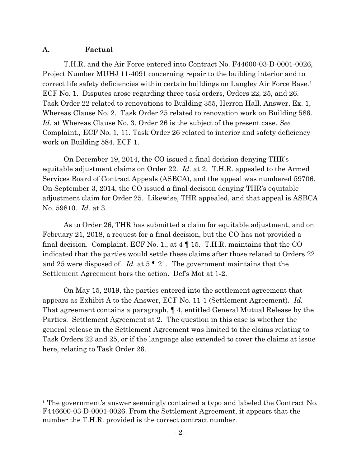## **A. Factual**

T.H.R. and the Air Force entered into Contract No. F44600-03-D-0001-0026, Project Number MUHJ 11-4091 concerning repair to the building interior and to correct life safety deficiencies within certain buildings on Langley Air Force Base.<sup>1</sup> ECF No. 1. Disputes arose regarding three task orders, Orders 22, 25, and 26. Task Order 22 related to renovations to Building 355, Herron Hall. Answer, Ex. 1, Whereas Clause No. 2. Task Order 25 related to renovation work on Building 586. *Id*. at Whereas Clause No. 3. Order 26 is the subject of the present case. *See*  Complaint*.,* ECF No. 1, 11. Task Order 26 related to interior and safety deficiency work on Building 584. ECF 1.

On December 19, 2014, the CO issued a final decision denying THR's equitable adjustment claims on Order 22. *Id.* at 2. T.H.R. appealed to the Armed Services Board of Contract Appeals (ASBCA), and the appeal was numbered 59706. On September 3, 2014, the CO issued a final decision denying THR's equitable adjustment claim for Order 25. Likewise, THR appealed, and that appeal is ASBCA No. 59810. *Id.* at 3.

As to Order 26, THR has submitted a claim for equitable adjustment, and on February 21, 2018, a request for a final decision, but the CO has not provided a final decision. Complaint, ECF No. 1., at 4 ¶ 15. T.H.R. maintains that the CO indicated that the parties would settle these claims after those related to Orders 22 and 25 were disposed of. *Id.* at 5 ¶ 21. The government maintains that the Settlement Agreement bars the action. Def's Mot at 1-2.

On May 15, 2019, the parties entered into the settlement agreement that appears as Exhibit A to the Answer, ECF No. 11-1 (Settlement Agreement). *Id.*  That agreement contains a paragraph, ¶ 4, entitled General Mutual Release by the Parties. Settlement Agreement at 2. The question in this case is whether the general release in the Settlement Agreement was limited to the claims relating to Task Orders 22 and 25, or if the language also extended to cover the claims at issue here, relating to Task Order 26.

<sup>&</sup>lt;sup>1</sup> The government's answer seemingly contained a typo and labeled the Contract No. F446600-03-D-0001-0026. From the Settlement Agreement, it appears that the number the T.H.R. provided is the correct contract number.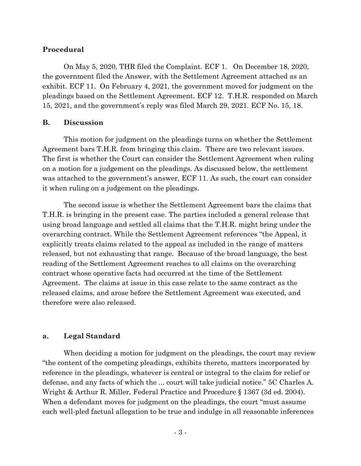## **Procedural**

On May 5, 2020, THR filed the Complaint. ECF 1. On December 18, 2020, the government filed the Answer, with the Settlement Agreement attached as an exhibit. ECF 11. On February 4, 2021, the government moved for judgment on the pleadings based on the Settlement Agreement. ECF 12. T.H.R. responded on March 15, 2021, and the government's reply was filed March 29, 2021. ECF No. 15, 18.

#### **B. Discussion**

This motion for judgment on the pleadings turns on whether the Settlement Agreement bars T.H.R. from bringing this claim. There are two relevant issues. The first is whether the Court can consider the Settlement Agreement when ruling on a motion for a judgement on the pleadings. As discussed below, the settlement was attached to the government's answer, ECF 11. As such, the court can consider it when ruling on a judgement on the pleadings.

The second issue is whether the Settlement Agreement bars the claims that T.H.R. is bringing in the present case. The parties included a general release that using broad language and settled all claims that the T.H.R. might bring under the overarching contract. While the Settlement Agreement references "the Appeal, it explicitly treats claims related to the appeal as included in the range of matters released, but not exhausting that range. Because of the broad language, the best reading of the Settlement Agreement reaches to all claims on the overarching contract whose operative facts had occurred at the time of the Settlement Agreement. The claims at issue in this case relate to the same contract as the released claims, and arose before the Settlement Agreement was executed, and therefore were also released.

#### **a. Legal Standard**

When deciding a motion for judgment on the pleadings, the court may review "the content of the competing pleadings, exhibits thereto, matters incorporated by reference in the pleadings, whatever is central or integral to the claim for relief or defense, and any facts of which the ... court will take judicial notice." 5C Charles A. Wright & Arthur R. Miller, Federal Practice and Procedure § 1367 (3d ed. 2004). When a defendant moves for judgment on the pleadings, the court "must assume each well-pled factual allegation to be true and indulge in all reasonable inferences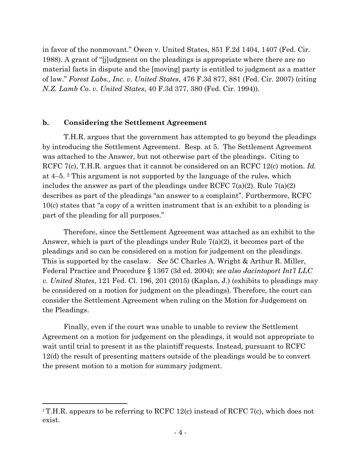in favor of the nonmovant." Owen v. United States, 851 F.2d 1404, 1407 (Fed. Cir. 1988). A grant of "[j]udgment on the pleadings is appropriate where there are no material facts in dispute and the [moving] party is entitled to judgment as a matter of law." *Forest Labs., Inc. v. United States*, 476 F.3d 877, 881 (Fed. Cir. 2007) (citing *N.Z. Lamb Co. v. United States*, 40 F.3d 377, 380 (Fed. Cir. 1994)).

#### **b. Considering the Settlement Agreement**

T.H.R. argues that the government has attempted to go beyond the pleadings by introducing the Settlement Agreement. Resp. at 5. The Settlement Agreement was attached to the Answer, but not otherwise part of the pleadings. Citing to RCFC 7(c), T.H.R. argues that it cannot be considered on an RCFC 12(c) motion. *Id.* at 4–5. <sup>2</sup> This argument is not supported by the language of the rules, which includes the answer as part of the pleadings under RCFC  $7(a)(2)$ . Rule  $7(a)(2)$ describes as part of the pleadings "an answer to a complaint". Furthermore, RCFC 10(c) states that "a copy of a written instrument that is an exhibit to a pleading is part of the pleading for all purposes."

Therefore, since the Settlement Agreement was attached as an exhibit to the Answer, which is part of the pleadings under Rule 7(a)(2), it becomes part of the pleadings and so can be considered on a motion for judgement on the pleadings. This is supported by the caselaw. *See* 5C Charles A. Wright & Arthur R. Miller, Federal Practice and Procedure § 1367 (3d ed. 2004); *see also Jacintoport Int'l LLC v. United States*, 121 Fed. Cl. 196, 201 (2015) (Kaplan, J.) (exhibits to pleadings may be considered on a motion for judgment on the pleadings). Therefore, the court can consider the Settlement Agreement when ruling on the Motion for Judgement on the Pleadings.

Finally, even if the court was unable to unable to review the Settlement Agreement on a motion for judgement on the pleadings, it would not appropriate to wait until trial to present it as the plaintiff requests. Instead, pursuant to RCFC 12(d) the result of presenting matters outside of the pleadings would be to convert the present motion to a motion for summary judgment.

<sup>&</sup>lt;sup>2</sup> T.H.R. appears to be referring to RCFC 12(c) instead of RCFC 7(c), which does not exist.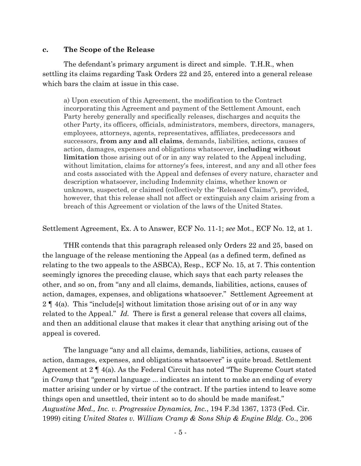#### **c. The Scope of the Release**

The defendant's primary argument is direct and simple. T.H.R., when settling its claims regarding Task Orders 22 and 25, entered into a general release which bars the claim at issue in this case.

a) Upon execution of this Agreement, the modification to the Contract incorporating this Agreement and payment of the Settlement Amount, each Party hereby generally and specifically releases, discharges and acquits the other Party, its officers, officials, administrators, members, directors, managers, employees, attorneys, agents, representatives, affiliates, predecessors and successors, **from any and all claims**, demands, liabilities, actions, causes of action, damages, expenses and obligations whatsoever, **including without limitation** those arising out of or in any way related to the Appeal including, without limitation, claims for attorney's fees, interest, and any and all other fees and costs associated with the Appeal and defenses of every nature, character and description whatsoever, including Indemnity claims, whether known or unknown, suspected, or claimed (collectively the "Released Claims"), provided, however, that this release shall not affect or extinguish any claim arising from a breach of this Agreement or violation of the laws of the United States.

Settlement Agreement, Ex. A to Answer, ECF No. 11-1; *see* Mot., ECF No. 12, at 1.

THR contends that this paragraph released only Orders 22 and 25, based on the language of the release mentioning the Appeal (as a defined term, defined as relating to the two appeals to the ASBCA), Resp., ECF No. 15, at 7. This contention seemingly ignores the preceding clause, which says that each party releases the other, and so on, from "any and all claims, demands, liabilities, actions, causes of action, damages, expenses, and obligations whatsoever." Settlement Agreement at  $2 \nvert 4(a)$ . This "include [s] without limitation those arising out of or in any way related to the Appeal." *Id.* There is first a general release that covers all claims, and then an additional clause that makes it clear that anything arising out of the appeal is covered.

The language "any and all claims, demands, liabilities, actions, causes of action, damages, expenses, and obligations whatsoever" is quite broad. Settlement Agreement at 2 ¶ 4(a). As the Federal Circuit has noted "The Supreme Court stated in *Cramp* that "general language ... indicates an intent to make an ending of every matter arising under or by virtue of the contract. If the parties intend to leave some things open and unsettled, their intent so to do should be made manifest." *Augustine Med., Inc. v. Progressive Dynamics, Inc.*, 194 F.3d 1367, 1373 (Fed. Cir. 1999) citing *United States v. William Cramp & Sons Ship & Engine Bldg. Co*., 206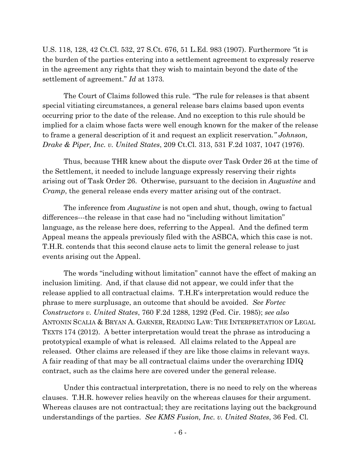U.S. 118, 128, 42 Ct.Cl. 532, 27 S.Ct. 676, 51 L.Ed. 983 (1907). Furthermore *"*it is the burden of the parties entering into a settlement agreement to expressly reserve in the agreement any rights that they wish to maintain beyond the date of the settlement of agreement." *Id* at 1373*.*

The Court of Claims followed this rule. "The rule for releases is that absent special vitiating circumstances, a general release bars claims based upon events occurring prior to the date of the release. And no exception to this rule should be implied for a claim whose facts were well enough known for the maker of the release to frame a general description of it and request an explicit reservation*." Johnson, Drake & Piper, Inc. v. United States*, 209 Ct.Cl. 313, 531 F.2d 1037, 1047 (1976).

Thus, because THR knew about the dispute over Task Order 26 at the time of the Settlement, it needed to include language expressly reserving their rights arising out of Task Order 26. Otherwise, pursuant to the decision in *Augustine* and *Cramp*, the general release ends every matter arising out of the contract.

The inference from *Augustine* is not open and shut, though, owing to factual differences---the release in that case had no "including without limitation" language, as the release here does, referring to the Appeal. And the defined term Appeal means the appeals previously filed with the ASBCA, which this case is not. T.H.R. contends that this second clause acts to limit the general release to just events arising out the Appeal.

The words "including without limitation" cannot have the effect of making an inclusion limiting. And, if that clause did not appear, we could infer that the release applied to all contractual claims. T.H.R's interpretation would reduce the phrase to mere surplusage, an outcome that should be avoided. *See Fortec Constructors v. United States*, 760 F.2d 1288, 1292 (Fed. Cir. 1985); *see also* ANTONIN SCALIA & BRYAN A. GARNER, READING LAW: THE INTERPRETATION OF LEGAL TEXTS 174 (2012). A better interpretation would treat the phrase as introducing a prototypical example of what is released. All claims related to the Appeal are released. Other claims are released if they are like those claims in relevant ways. A fair reading of that may be all contractual claims under the overarching IDIQ contract, such as the claims here are covered under the general release.

Under this contractual interpretation, there is no need to rely on the whereas clauses. T.H.R. however relies heavily on the whereas clauses for their argument. Whereas clauses are not contractual; they are recitations laying out the background understandings of the parties. *See KMS Fusion, Inc. v. United States*, 36 Fed. Cl.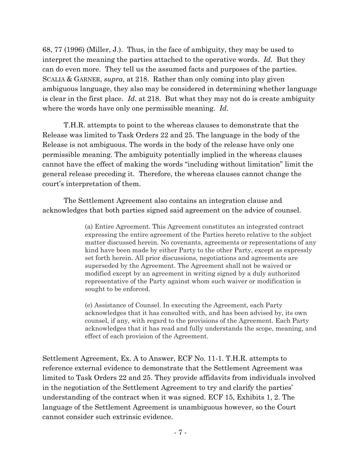68, 77 (1996) (Miller, J.). Thus, in the face of ambiguity, they may be used to interpret the meaning the parties attached to the operative words. *Id.* But they can do even more. They tell us the assumed facts and purposes of the parties. SCALIA & GARNER, *supra*, at 218. Rather than only coming into play given ambiguous language, they also may be considered in determining whether language is clear in the first place. *Id.* at 218. But what they may not do is create ambiguity where the words have only one permissible meaning. *Id.* 

T.H.R. attempts to point to the whereas clauses to demonstrate that the Release was limited to Task Orders 22 and 25. The language in the body of the Release is not ambiguous. The words in the body of the release have only one permissible meaning. The ambiguity potentially implied in the whereas clauses cannot have the effect of making the words "including without limitation" limit the general release preceding it. Therefore, the whereas clauses cannot change the court's interpretation of them.

The Settlement Agreement also contains an integration clause and acknowledges that both parties signed said agreement on the advice of counsel.

> (a) Entire Agreement. This Agreement constitutes an integrated contract expressing the entire agreement of the Parties hereto relative to the subject matter discussed herein. No covenants, agreements or representations of any kind have been made by either Party to the other Party, except as expressly set forth herein. All prior discussions, negotiations and agreements are superseded by the Agreement. The Agreement shall not be waived or modified except by an agreement in writing signed by a duly authorized representative of the Party against whom such waiver or modification is sought to be enforced.

> (e) Assistance of Counsel. In executing the Agreement, each Party acknowledges that it has consulted with, and has been advised by, its own counsel, if any, with regard to the provisions of the Agreement. Each Party acknowledges that it has read and fully understands the scope, meaning, and effect of each provision of the Agreement.

Settlement Agreement, Ex. A to Answer, ECF No. 11-1. T.H.R. attempts to reference external evidence to demonstrate that the Settlement Agreement was limited to Task Orders 22 and 25. They provide affidavits from individuals involved in the negotiation of the Settlement Agreement to try and clarify the parties' understanding of the contract when it was signed. ECF 15, Exhibits 1, 2. The language of the Settlement Agreement is unambiguous however, so the Court cannot consider such extrinsic evidence.